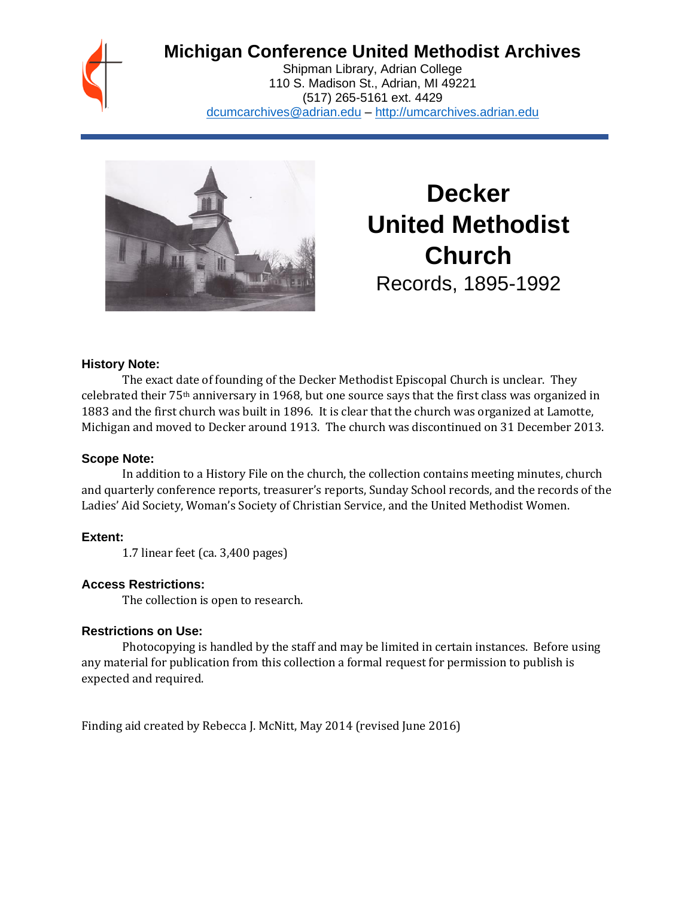# **Michigan Conference United Methodist Archives**

Shipman Library, Adrian College 110 S. Madison St., Adrian, MI 49221 (517) 265-5161 ext. 4429 [dcumcarchives@adrian.edu](mailto:dcumcarchives@adrian.edu) – [http://umcarchives.adrian.edu](http://umcarchives.adrian.edu/)



**Decker United Methodist Church** Records, 1895-1992

### **History Note:**

The exact date of founding of the Decker Methodist Episcopal Church is unclear. They celebrated their 75th anniversary in 1968, but one source says that the first class was organized in 1883 and the first church was built in 1896. It is clear that the church was organized at Lamotte, Michigan and moved to Decker around 1913. The church was discontinued on 31 December 2013.

#### **Scope Note:**

In addition to a History File on the church, the collection contains meeting minutes, church and quarterly conference reports, treasurer's reports, Sunday School records, and the records of the Ladies' Aid Society, Woman's Society of Christian Service, and the United Methodist Women.

# **Extent:**

1.7 linear feet (ca. 3,400 pages)

# **Access Restrictions:**

The collection is open to research.

# **Restrictions on Use:**

Photocopying is handled by the staff and may be limited in certain instances. Before using any material for publication from this collection a formal request for permission to publish is expected and required.

Finding aid created by Rebecca J. McNitt, May 2014 (revised June 2016)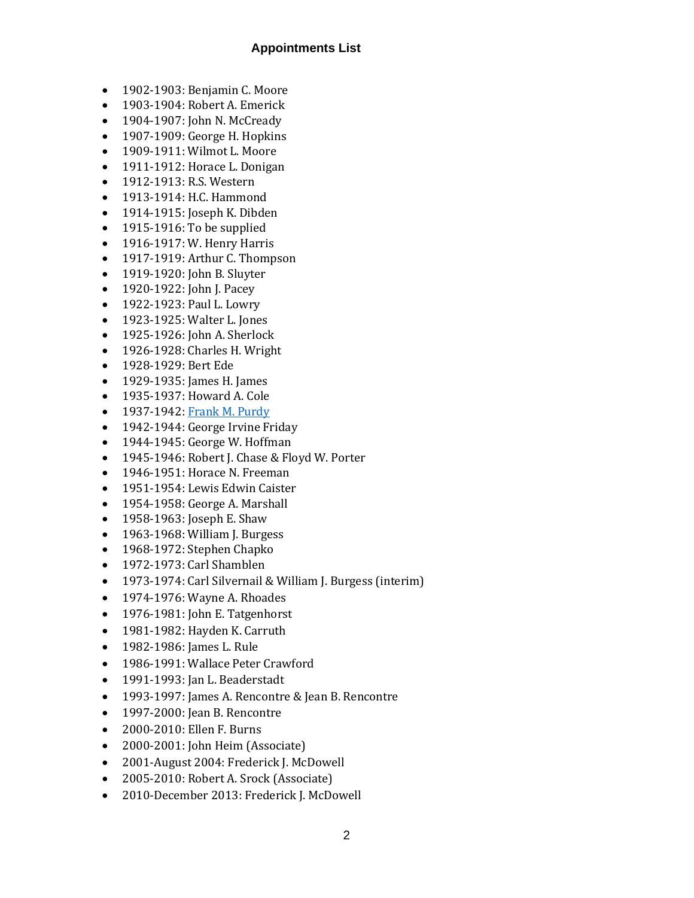#### **Appointments List**

- 1902-1903: Benjamin C. Moore
- 1903-1904: Robert A. Emerick
- 1904-1907: John N. McCready
- 1907-1909: George H. Hopkins
- 1909-1911: Wilmot L. Moore
- 1911-1912: Horace L. Donigan
- 1912-1913: R.S. Western
- 1913-1914: H.C. Hammond
- 1914-1915: Joseph K. Dibden
- 1915-1916: To be supplied
- 1916-1917: W. Henry Harris
- 1917-1919: Arthur C. Thompson
- 1919-1920: John B. Sluyter
- 1920-1922: John J. Pacey
- 1922-1923: Paul L. Lowry
- 1923-1925: Walter L. Jones
- 1925-1926: John A. Sherlock
- 1926-1928: Charles H. Wright
- 1928-1929: Bert Ede
- 1929-1935: James H. James
- 1935-1937: Howard A. Cole
- 1937-1942[: Frank M. Purdy](http://umcarchives.adrian.edu/clergy/purdyfm.php)
- 1942-1944: George Irvine Friday
- 1944-1945: George W. Hoffman
- 1945-1946: Robert J. Chase & Floyd W. Porter
- 1946-1951: Horace N. Freeman
- 1951-1954: Lewis Edwin Caister
- 1954-1958: George A. Marshall
- 1958-1963: Joseph E. Shaw
- 1963-1968: William J. Burgess
- 1968-1972: Stephen Chapko
- 1972-1973: Carl Shamblen
- 1973-1974: Carl Silvernail & William J. Burgess (interim)
- 1974-1976: Wayne A. Rhoades
- 1976-1981: John E. Tatgenhorst
- 1981-1982: Hayden K. Carruth
- 1982-1986: James L. Rule
- 1986-1991: Wallace Peter Crawford
- 1991-1993: Jan L. Beaderstadt
- 1993-1997: James A. Rencontre & Jean B. Rencontre
- 1997-2000: Jean B. Rencontre
- 2000-2010: Ellen F. Burns
- 2000-2001: John Heim (Associate)
- 2001-August 2004: Frederick J. McDowell
- 2005-2010: Robert A. Srock (Associate)
- 2010-December 2013: Frederick J. McDowell